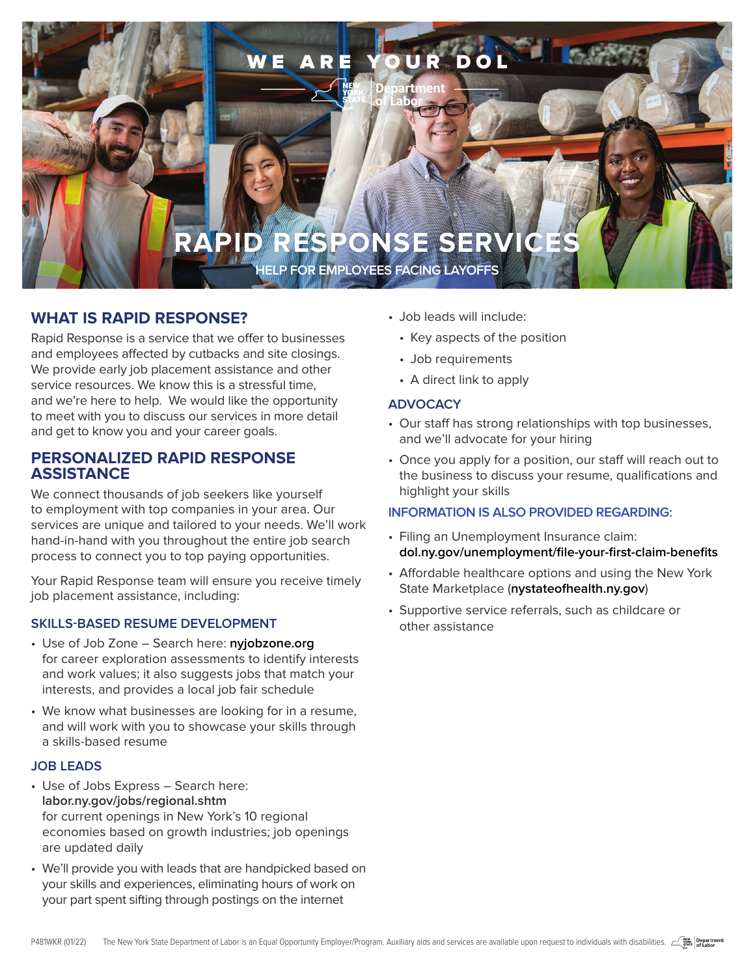

# **WHAT IS RAPID RESPONSE?**

Rapid Response is a service that we offer to businesses and employees affected by cutbacks and site closings. We provide early job placement assistance and other service resources. We know this is a stressful time, and we're here to help. We would like the opportunity to meet with you to discuss our services in more detail and get to know you and your career goals.

## **PERSONALIZED RAPID RESPONSE ASSISTANCE**

We connect thousands of job seekers like yourself to employment with top companies in your area. Our services are unique and tailored to your needs. We'll work hand-in-hand with you throughout the entire job search process to connect you to top paying opportunities.

Your Rapid Response team will ensure you receive timely job placement assistance, including:

## **SKILLS-BASED RESUME DEVELOPMENT**

- Use of Job Zone Search here: **[nyjobzone.org](http://www.nyjobzone.org)** for career exploration assessments to identify interests and work values; it also suggests jobs that match your interests, and provides a local job fair schedule
- We know what businesses are looking for in a resume, and will work with you to showcase your skills through a skills-based resume

## **JOB LEADS**

- Use of Jobs Express Search here: **[labor.ny.gov/jobs/regional.shtm](http://www.labor.ny.gov/jobs/regional.shtm)** for current openings in New York's 10 regional economies based on growth industries; job openings are updated daily
- We'll provide you with leads that are handpicked based on your skills and experiences, eliminating hours of work on your part spent sifting through postings on the internet
- Job leads will include:
	- Key aspects of the position
	- Job requirements
	- A direct link to apply

## **ADVOCACY**

- Our staff has strong relationships with top businesses, and we'll advocate for your hiring
- Once you apply for a position, our staff will reach out to the business to discuss your resume, qualifications and highlight your skills

#### **INFORMATION IS ALSO PROVIDED REGARDING:**

- Filing an Unemployment Insurance claim: **[dol.ny.gov/unemployment/file-your-first-claim-benefits](https://dol.ny.gov/unemployment/file-your-first-claim-benefits)**
- Affordable healthcare options and using the New York State Marketplace (**[nystateofhealth.ny.gov](http://www.nystateofhealth.ny.gov)**)
- Supportive service referrals, such as childcare or other assistance